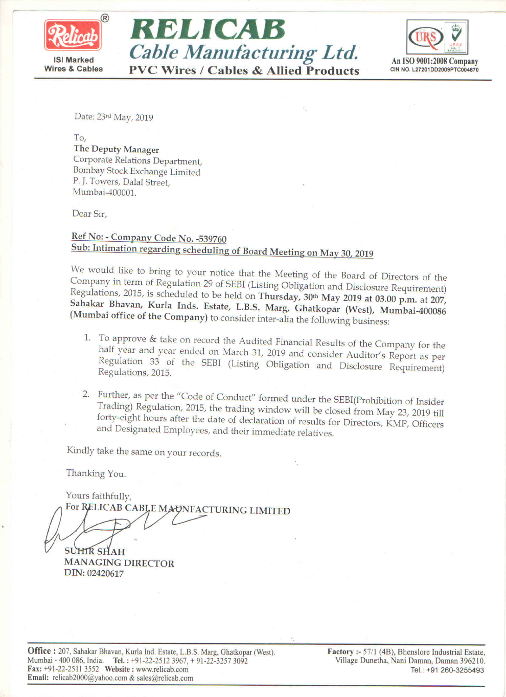





Date: 23rd May, 2019

To. The Deputy Manager Corporate Relations Department, Bombay Stock Exchange Limited P. J. Towers, Dalal Street, Mumbai-400001.

Dear Sir,

## Ref No: - Company Code No. -539760 Sub: Intimation regarding scheduling of Board Meeting on May 30, 2019

We would like to bring to your notice that the Meeting of the Board of Directors of the Company in term of Regulation 29 of SEBI (Listing Obligation and Disclosure Requirement) Regulations, 2015, is scheduled to be held on Thursday, 30th May 2019 at 03.00 p.m. at 207, Sahakar Bhavan, Kurla Inds. Estate, L.B.S. Marg, Ghatkopar (West), Mumbai-400086 (Mumbai office of the Company) to consider inter-alia the following business:

- 1. To approve & take on record the Audited Financial Results of the Company for the half year and year ended on March 31, 2019 and consider Auditor's Report as per Regulation 33 of the SEBI (Listing Obligation and Disclosure Requirement) Regulations, 2015.
- 2. Further, as per the "Code of Conduct" formed under the SEBI(Prohibition of Insider Trading) Regulation, 2015, the trading window will be closed from May 23, 2019 till forty-eight hours after the date of declaration of results for Directors, KMP, Officers and Designated Employees, and their immediate relatives.

Kindly take the same on your records.

Thanking You.

Yours faithfully, For RELICAB CABLE MAUNFACTURING LIMITED

**SUHIR SHAH MANAGING DIRECTOR** DIN: 02420617